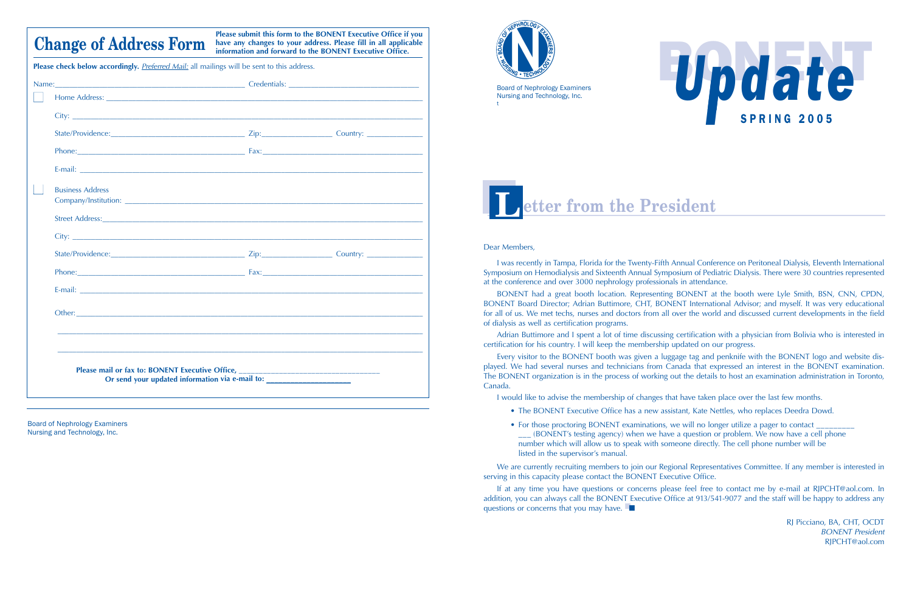#### Dear Members,

I was recently in Tampa, Florida for the Twenty-Fifth Annual Conference on Peritoneal Dialysis, Eleventh International Symposium on Hemodialysis and Sixteenth Annual Symposium of Pediatric Dialysis. There were 30 countries represented at the conference and over 3000 nephrology professionals in attendance.

BONENT had a great booth location. Representing BONENT at the booth were Lyle Smith, BSN, CNN, CPDN, BONENT Board Director; Adrian Buttimore, CHT, BONENT International Advisor; and myself. It was very educational for all of us. We met techs, nurses and doctors from all over the world and discussed current developments in the field of dialysis as well as certification programs.

Adrian Buttimore and I spent a lot of time discussing certification with a physician from Bolivia who is interested in certification for his country. I will keep the membership updated on our progress.

If at any time you have questions or concerns please feel free to contact me by e-mail at RJPCHT@aol.com. In addition, you can always call the BONENT Executive Office at 913/541-9077 and the staff will be happy to address any questions or concerns that you may have. ■

Every visitor to the BONENT booth was given a luggage tag and penknife with the BONENT logo and website displayed. We had several nurses and technicians from Canada that expressed an interest in the BONENT examination. The BONENT organization is in the process of working out the details to host an examination administration in Toronto, Canada.

I would like to advise the membership of changes that have taken place over the last few months.

- The BONENT Executive Office has a new assistant, Kate Nettles, who replaces Deedra Dowd.
- For those proctoring BONENT examinations, we will no longer utilize a pager to contact listed in the supervisor's manual.

\_\_\_ (BONENT's testing agency) when we have a question or problem. We now have a cell phone number which will allow us to speak with someone directly. The cell phone number will be

We are currently recruiting members to join our Regional Representatives Committee. If any member is interested in serving in this capacity please contact the BONENT Executive Office.

> RJ Picciano, BA, CHT, OCDT *BONENT President* RJPCHT@aol.com



Board of Nephrology Examiners Nursing and Technology, Inc. t





Board of Nephrology Examiners Nursing and Technology, Inc.

**Please submit this form to the BONENT Executive Office if you have any changes to your address. Please fill in all applicable information and forward to the BONENT Executive Office.** 

| <b>Business Address</b> |                                                                                                                                                                                                                                |  |
|-------------------------|--------------------------------------------------------------------------------------------------------------------------------------------------------------------------------------------------------------------------------|--|
|                         | Street Address: Universe of Address: Address: Address: Address: Address: Address: Address: Address: Address: Address: Address: Address: Address: Address: Address: Address: Address: Address: Address: Address: Address: Addre |  |
|                         |                                                                                                                                                                                                                                |  |
|                         |                                                                                                                                                                                                                                |  |
|                         |                                                                                                                                                                                                                                |  |
|                         |                                                                                                                                                                                                                                |  |
|                         |                                                                                                                                                                                                                                |  |
|                         |                                                                                                                                                                                                                                |  |
|                         |                                                                                                                                                                                                                                |  |

## **Change of Address Form**